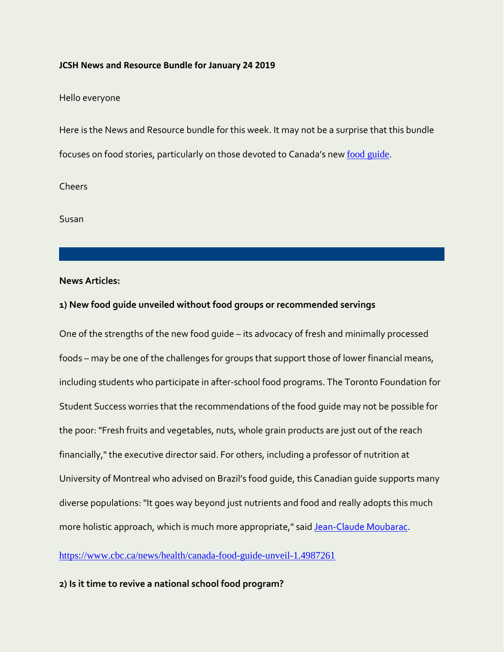#### **JCSH News and Resource Bundle for January 24 2019**

Hello everyone

Here is the News and Resource bundle for this week. It may not be a surprise that this bundle focuses on food stories, particularly on those devoted to Canada's new [food guide](https://food-guide.canada.ca/en/?utm_source=canada-ca-foodguide-en&utm_medium=vurl&utm_campaign=foodguide).

Cheers

Susan

## **News Articles:**

#### **1) New food guide unveiled without food groups or recommended servings**

One of the strengths of the new food guide – its advocacy of fresh and minimally processed foods – may be one of the challenges for groups that support those of lower financial means, including students who participate in after-school food programs. The Toronto Foundation for Student Success worries that the recommendations of the food guide may not be possible for the poor: "Fresh fruits and vegetables, nuts, whole grain products are just out of the reach financially," the executive director said. For others, including a professor of nutrition at University of Montreal who advised on Brazil's food guide, this Canadian guide supports many diverse populations: "It goes way beyond just nutrients and food and really adopts this much more holistic approach, which is much more appropriate," said [Jean-Claude Moubarac.](https://nutrition.umontreal.ca/departement/professeurs/profil/moubarac-jean-claude/in28133/)

<https://www.cbc.ca/news/health/canada-food-guide-unveil-1.4987261>

## **2) Is it time to revive a national school food program?**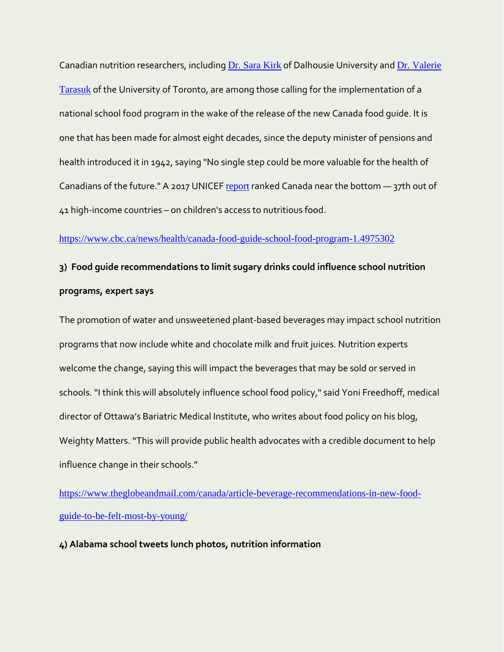Canadian nutrition researchers, including [Dr. Sara Kirk](https://www.dal.ca/faculty/health/health-humanperformance/faculty-staff/our-faculty/health-promotion/sara-kirk.html) of Dalhousie University and [Dr. Valerie](http://www.dlsph.utoronto.ca/faculty-profile/tarasuk-valerie/)  [Tarasuk](http://www.dlsph.utoronto.ca/faculty-profile/tarasuk-valerie/) of the University of Toronto, are among those calling for the implementation of a national school food program in the wake of the release of the new Canada food guide. It is one that has been made for almost eight decades, since the deputy minister of pensions and health introduced it in 1942, saying "No single step could be more valuable for the health of Canadians of the future." A 2017 UNICEF [report](https://www.unicef.ca/en/unicef-report-card-14-child-well-being-sustainable-world) ranked Canada near the bottom - 37th out of 41 high-income countries – on children's access to nutritious food.

#### <https://www.cbc.ca/news/health/canada-food-guide-school-food-program-1.4975302>

# **3) Food guide recommendations to limit sugary drinks could influence school nutrition programs, expert says**

The promotion of water and unsweetened plant-based beverages may impact school nutrition programs that now include white and chocolate milk and fruit juices. Nutrition experts welcome the change, saying this will impact the beverages that may be sold or served in schools. "I think this will absolutely influence school food policy," said Yoni Freedhoff, medical director of Ottawa's Bariatric Medical Institute, who writes about food policy on his blog, Weighty Matters. "This will provide public health advocates with a credible document to help influence change in their schools."

[https://www.theglobeandmail.com/canada/article-beverage-recommendations-in-new-food](https://www.theglobeandmail.com/canada/article-beverage-recommendations-in-new-food-guide-to-be-felt-most-by-young/)[guide-to-be-felt-most-by-young/](https://www.theglobeandmail.com/canada/article-beverage-recommendations-in-new-food-guide-to-be-felt-most-by-young/)

# **4) Alabama school tweets lunch photos, nutrition information**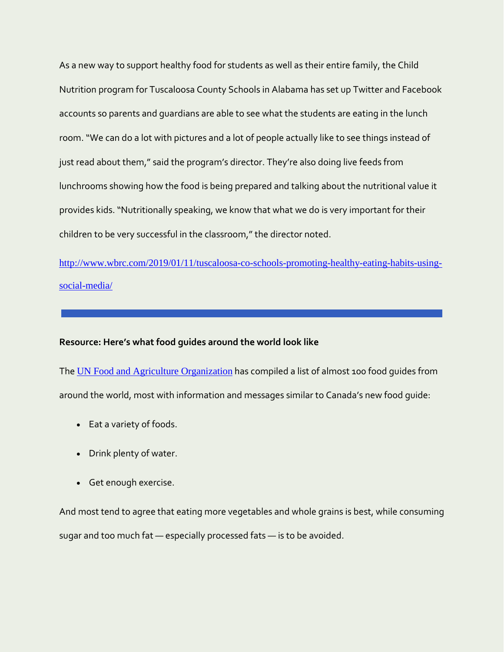As a new way to support healthy food for students as well as their entire family, the Child Nutrition program for Tuscaloosa County Schools in Alabama has set up Twitter and Facebook accounts so parents and guardians are able to see what the students are eating in the lunch room."We can do a lot with pictures and a lot of people actually like to see things instead of just read about them," said the program's director. They're also doing live feeds from lunchrooms showing how the food is being prepared and talking about the nutritional value it provides kids. "Nutritionally speaking, we know that what we do is very important for their children to be very successful in the classroom," the director noted.

[http://www.wbrc.com/2019/01/11/tuscaloosa-co-schools-promoting-healthy-eating-habits-using](http://www.wbrc.com/2019/01/11/tuscaloosa-co-schools-promoting-healthy-eating-habits-using-social-media/)[social-media/](http://www.wbrc.com/2019/01/11/tuscaloosa-co-schools-promoting-healthy-eating-habits-using-social-media/)

#### **Resource: Here's what food guides around the world look like**

The [UN Food and Agriculture Organization](http://www.fao.org/home/en/) has compiled a list of almost 100 food guides from around the world, most with information and messages similar to Canada's new food guide:

- Eat a variety of foods.
- Drink plenty of water.
- Get enough exercise.

And most tend to agree that eating more vegetables and whole grains is best, while consuming sugar and too much fat — especially processed fats — is to be avoided.